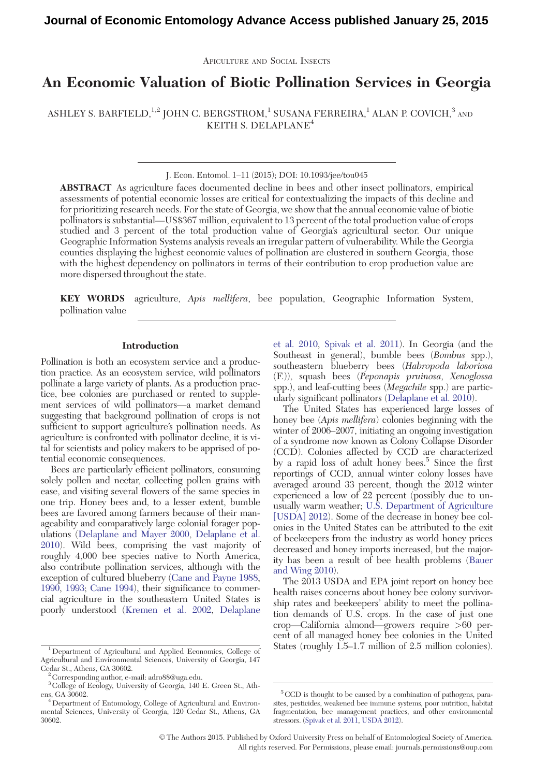APICULTURE AND SOCIAL INSECTS

# An Economic Valuation of Biotic Pollination Services in Georgia

ASHLEY S. BARFIELD,<sup>1,2</sup> JOHN C. BERGSTROM,<sup>1</sup> SUSANA FERREIRA,<sup>1</sup> ALAN P. COVICH,<sup>3</sup> AND KEITH S. DELAPLANE4

J. Econ. Entomol. 1–11 (2015); DOI: 10.1093/jee/tou045

ABSTRACT As agriculture faces documented decline in bees and other insect pollinators, empirical assessments of potential economic losses are critical for contextualizing the impacts of this decline and for prioritizing research needs. For the state of Georgia, we show that the annual economic value of biotic pollinators is substantial—US\$367 million, equivalent to 13 percent of the total production value of crops studied and 3 percent of the total production value of Georgia's agricultural sector. Our unique Geographic Information Systems analysis reveals an irregular pattern of vulnerability. While the Georgia counties displaying the highest economic values of pollination are clustered in southern Georgia, those with the highest dependency on pollinators in terms of their contribution to crop production value are more dispersed throughout the state.

KEY WORDS agriculture, Apis mellifera, bee population, Geographic Information System, pollination value

## Introduction

Pollination is both an ecosystem service and a production practice. As an ecosystem service, wild pollinators pollinate a large variety of plants. As a production practice, bee colonies are purchased or rented to supplement services of wild pollinators—a market demand suggesting that background pollination of crops is not sufficient to support agriculture's pollination needs. As agriculture is confronted with pollinator decline, it is vital for scientists and policy makers to be apprised of potential economic consequences.

Bees are particularly efficient pollinators, consuming solely pollen and nectar, collecting pollen grains with ease, and visiting several flowers of the same species in one trip. Honey bees and, to a lesser extent, bumble bees are favored among farmers because of their manageability and comparatively large colonial forager populations ([Delaplane and Mayer 2000,](#page-10-0) [Delaplane et al.](#page-10-0) [2010](#page-10-0)). Wild bees, comprising the vast majority of roughly 4,000 bee species native to North America, also contribute pollination services, although with the exception of cultured blueberry [\(Cane and Payne 1988](#page-10-0), [1990](#page-9-0), [1993](#page-9-0); [Cane 1994\)](#page-9-0), their significance to commercial agriculture in the southeastern United States is poorly understood [\(Kremen et al. 2002](#page-10-0), [Delaplane](#page-10-0)

Department of Agricultural and Applied Economics, College of Agricultural and Environmental Sciences, University of Georgia, 147

<sup>3</sup> College of Ecology, University of Georgia, 140 E. Green St., Ath-

[et al. 2010,](#page-10-0) [Spivak et al. 2011](#page-10-0)). In Georgia (and the Southeast in general), bumble bees (Bombus spp.), southeastern blueberry bees (Habropoda laboriosa (F.)), squash bees (Peponapis pruinosa, Xenoglossa spp.), and leaf-cutting bees (*Megachile* spp.) are particularly significant pollinators ([Delaplane et al. 2010](#page-10-0)).

The United States has experienced large losses of honey bee (Apis mellifera) colonies beginning with the winter of 2006–2007, initiating an ongoing investigation of a syndrome now known as Colony Collapse Disorder (CCD). Colonies affected by CCD are characterized by a rapid loss of adult honey bees.<sup>5</sup> Since the first reportings of CCD, annual winter colony losses have averaged around 33 percent, though the 2012 winter experienced a low of 22 percent (possibly due to unusually warm weather; [U.S. Department of Agriculture](#page-10-0) [\[USDA\] 2012\)](#page-10-0). Some of the decrease in honey bee colonies in the United States can be attributed to the exit of beekeepers from the industry as world honey prices decreased and honey imports increased, but the majority has been a result of bee health problems [\(Bauer](#page-9-0) [and Wing 2010](#page-9-0)).

The 2013 USDA and EPA joint report on honey bee health raises concerns about honey bee colony survivorship rates and beekeepers' ability to meet the pollination demands of U.S. crops. In the case of just one crop—California almond—growers require >60 percent of all managed honey bee colonies in the United States (roughly 1.5–1.7 million of 2.5 million colonies).

V<sup>C</sup> The Authors 2015. Published by Oxford University Press on behalf of Entomological Society of America. All rights reserved. For Permissions, please email: journals.permissions@oup.com

Corresponding author, e-mail: adro88@uga.edu.

 $4$  Department of Entomology, College of Agricultural and Environmental Sciences, University of Georgia, 120 Cedar St., Athens, GA 30602.

<sup>5</sup> CCD is thought to be caused by a combination of pathogens, parasites, pesticides, weakened bee immune systems, poor nutrition, habitat fragmentation, bee management practices, and other environmental stressors. [\(Spivak et al. 2011](#page-10-0), [USDA 2012\)](#page-10-0).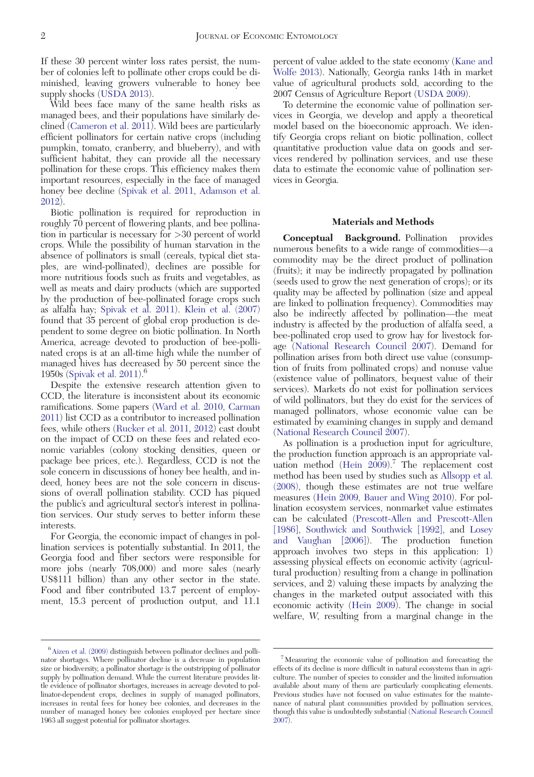If these 30 percent winter loss rates persist, the number of colonies left to pollinate other crops could be diminished, leaving growers vulnerable to honey bee supply shocks [\(USDA 2013\)](#page-10-0).

Wild bees face many of the same health risks as managed bees, and their populations have similarly declined [\(Cameron et al. 2011\)](#page-10-0). Wild bees are particularly efficient pollinators for certain native crops (including pumpkin, tomato, cranberry, and blueberry), and with sufficient habitat, they can provide all the necessary pollination for these crops. This efficiency makes them important resources, especially in the face of managed honey bee decline ([Spivak et al. 2011,](#page-10-0) [Adamson et al.](#page-9-0) [2012](#page-9-0)).

Biotic pollination is required for reproduction in roughly 70 percent of flowering plants, and bee pollination in particular is necessary for >30 percent of world crops. While the possibility of human starvation in the absence of pollinators is small (cereals, typical diet staples, are wind-pollinated), declines are possible for more nutritious foods such as fruits and vegetables, as well as meats and dairy products (which are supported by the production of bee-pollinated forage crops such as alfalfa hay; [Spivak et al. 2011\)](#page-10-0). [Klein et al. \(2007\)](#page-10-0) found that 35 percent of global crop production is dependent to some degree on biotic pollination. In North America, acreage devoted to production of bee-pollinated crops is at an all-time high while the number of managed hives has decreased by 50 percent since the 1950s [\(Spivak et al. 2011](#page-10-0)).6

Despite the extensive research attention given to CCD, the literature is inconsistent about its economic ramifications. Some papers [\(Ward et al. 2010,](#page-10-0) [Carman](#page-10-0) [2011](#page-10-0)) list CCD as a contributor to increased pollination fees, while others ([Rucker et al. 2011](#page-10-0), [2012\)](#page-10-0) cast doubt on the impact of CCD on these fees and related economic variables (colony stocking densities, queen or package bee prices, etc.). Regardless, CCD is not the sole concern in discussions of honey bee health, and indeed, honey bees are not the sole concern in discussions of overall pollination stability. CCD has piqued the public's and agricultural sector's interest in pollination services. Our study serves to better inform these interests.

For Georgia, the economic impact of changes in pollination services is potentially substantial. In 2011, the Georgia food and fiber sectors were responsible for more jobs (nearly 708,000) and more sales (nearly US\$111 billion) than any other sector in the state. Food and fiber contributed 13.7 percent of employment, 15.3 percent of production output, and 11.1

percent of value added to the state economy [\(Kane and](#page-10-0) [Wolfe 2013\)](#page-10-0). Nationally, Georgia ranks 14th in market value of agricultural products sold, according to the 2007 Census of Agriculture Report [\(USDA 2009](#page-10-0)).

To determine the economic value of pollination services in Georgia, we develop and apply a theoretical model based on the bioeconomic approach. We identify Georgia crops reliant on biotic pollination, collect quantitative production value data on goods and services rendered by pollination services, and use these data to estimate the economic value of pollination services in Georgia.

#### Materials and Methods

Conceptual Background. Pollination provides numerous benefits to a wide range of commodities—a commodity may be the direct product of pollination (fruits); it may be indirectly propagated by pollination (seeds used to grow the next generation of crops); or its quality may be affected by pollination (size and appeal are linked to pollination frequency). Commodities may also be indirectly affected by pollination—the meat industry is affected by the production of alfalfa seed, a bee-pollinated crop used to grow hay for livestock forage ([National Research Council 2007\)](#page-10-0). Demand for pollination arises from both direct use value (consumption of fruits from pollinated crops) and nonuse value (existence value of pollinators, bequest value of their services). Markets do not exist for pollination services of wild pollinators, but they do exist for the services of managed pollinators, whose economic value can be estimated by examining changes in supply and demand [\(National Research Council 2007\)](#page-10-0).

As pollination is a production input for agriculture, the production function approach is an appropriate valuation method (Hein  $2009$ ).<sup>7</sup> The replacement cost method has been used by studies such as [Allsopp et al.](#page-9-0) [\(2008\),](#page-9-0) though these estimates are not true welfare measures [\(Hein 2009](#page-10-0), [Bauer and Wing 2010\)](#page-9-0). For pollination ecosystem services, nonmarket value estimates can be calculated [\(Prescott-Allen and Prescott-Allen](#page-10-0) [\[1986\],](#page-10-0) [Southwick and Southwick \[1992\],](#page-10-0) and [Losey](#page-10-0) [and Vaughan \[2006\]\)](#page-10-0). The production function approach involves two steps in this application: 1) assessing physical effects on economic activity (agricultural production) resulting from a change in pollination services, and 2) valuing these impacts by analyzing the changes in the marketed output associated with this economic activity [\(Hein 2009\)](#page-10-0). The change in social welfare, W, resulting from a marginal change in the

<sup>6</sup>[Aizen et al. \(2009\)](#page-9-0) distinguish between pollinator declines and pollinator shortages. Where pollinator decline is a decrease in population size or biodiversity, a pollinator shortage is the outstripping of pollinator supply by pollination demand. While the current literature provides little evidence of pollinator shortages, increases in acreage devoted to pollinator-dependent crops, declines in supply of managed pollinators, increases in rental fees for honey bee colonies, and decreases in the number of managed honey bee colonies employed per hectare since 1963 all suggest potential for pollinator shortages.

<sup>7</sup>Measuring the economic value of pollination and forecasting the effects of its decline is more difficult in natural ecosystems than in agriculture. The number of species to consider and the limited information available about many of them are particularly complicating elements. Previous studies have not focused on value estimates for the maintenance of natural plant communities provided by pollination services, though this value is undoubtedly substantial [\(National Research Council](#page-10-0) [2007](#page-10-0)).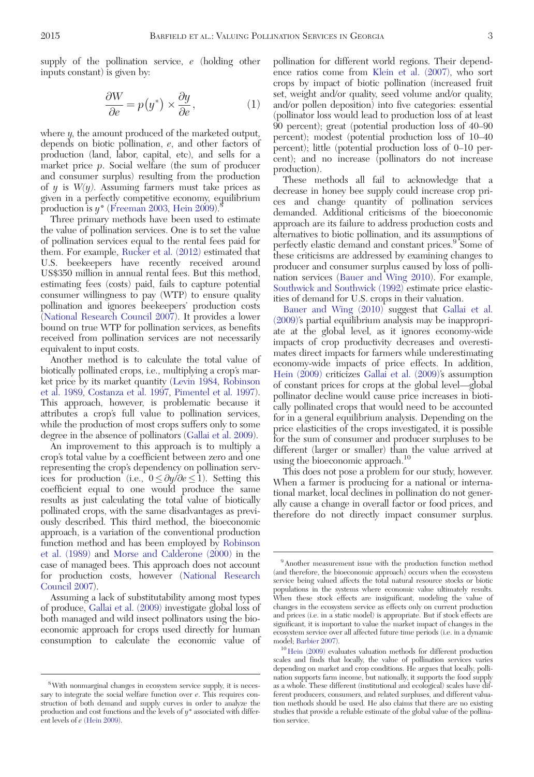supply of the pollination service, e (holding other inputs constant) is given by:

$$
\frac{\partial W}{\partial e} = p(y^*) \times \frac{\partial y}{\partial e},\tag{1}
$$

where *y*, the amount produced of the marketed output, depends on biotic pollination, e, and other factors of production (land, labor, capital, etc), and sells for a market price  $p$ . Social welfare (the sum of producer and consumer surplus) resulting from the production of  $y$  is  $W(y)$ . Assuming farmers must take prices as given in a perfectly competitive economy, equilibrium production is  $y^*$  [\(Freeman 2003](#page-10-0), [Hein 2009\)](#page-10-0).<sup>8</sup>

Three primary methods have been used to estimate the value of pollination services. One is to set the value of pollination services equal to the rental fees paid for them. For example, [Rucker et al. \(2012\)](#page-10-0) estimated that U.S. beekeepers have recently received around US\$350 million in annual rental fees. But this method, estimating fees (costs) paid, fails to capture potential consumer willingness to pay (WTP) to ensure quality pollination and ignores beekeepers' production costs ([National Research Council 2007\)](#page-10-0). It provides a lower bound on true WTP for pollination services, as benefits received from pollination services are not necessarily equivalent to input costs.

Another method is to calculate the total value of biotically pollinated crops, i.e., multiplying a crop's market price by its market quantity [\(Levin 1984,](#page-10-0) [Robinson](#page-10-0) [et al. 1989,](#page-10-0) [Costanza et al. 1997,](#page-10-0) [Pimentel et al. 1997](#page-10-0)). This approach, however, is problematic because it attributes a crop's full value to pollination services, while the production of most crops suffers only to some degree in the absence of pollinators [\(Gallai et al. 2009](#page-10-0)).

An improvement to this approach is to multiply a crop's total value by a coefficient between zero and one representing the crop's dependency on pollination services for production (i.e.,  $0 \le \partial y / \partial e \le 1$ ). Setting this coefficient equal to one would produce the same results as just calculating the total value of biotically pollinated crops, with the same disadvantages as previously described. This third method, the bioeconomic approach, is a variation of the conventional production function method and has been employed by [Robinson](#page-10-0) [et al. \(1989\)](#page-10-0) and [Morse and Calderone \(2000\)](#page-10-0) in the case of managed bees. This approach does not account for production costs, however ([National Research](#page-10-0) [Council 2007](#page-10-0)).

Assuming a lack of substitutability among most types of produce, [Gallai et al. \(2009\)](#page-10-0) investigate global loss of both managed and wild insect pollinators using the bioeconomic approach for crops used directly for human consumption to calculate the economic value of pollination for different world regions. Their dependence ratios come from [Klein et al. \(2007\)](#page-10-0), who sort crops by impact of biotic pollination (increased fruit set, weight and/or quality, seed volume and/or quality, and/or pollen deposition) into five categories: essential (pollinator loss would lead to production loss of at least 90 percent); great (potential production loss of 40–90 percent); modest (potential production loss of 10–40 percent); little (potential production loss of 0–10 percent); and no increase (pollinators do not increase production).

These methods all fail to acknowledge that a decrease in honey bee supply could increase crop prices and change quantity of pollination services demanded. Additional criticisms of the bioeconomic approach are its failure to address production costs and alternatives to biotic pollination, and its assumptions of perfectly elastic demand and constant prices.<sup>9</sup> Some of these criticisms are addressed by examining changes to producer and consumer surplus caused by loss of pollination services [\(Bauer and Wing 2010\)](#page-9-0). For example, [Southwick and Southwick \(1992\)](#page-10-0) estimate price elasticities of demand for U.S. crops in their valuation.

[Bauer and Wing \(2010\)](#page-9-0) suggest that [Gallai et al.](#page-10-0) [\(2009\)'](#page-10-0)s partial equilibrium analysis may be inappropriate at the global level, as it ignores economy-wide impacts of crop productivity decreases and overestimates direct impacts for farmers while underestimating economy-wide impacts of price effects. In addition, [Hein \(2009\)](#page-10-0) criticizes [Gallai et al. \(2009\)'](#page-10-0)s assumption of constant prices for crops at the global level—global pollinator decline would cause price increases in biotically pollinated crops that would need to be accounted for in a general equilibrium analysis. Depending on the price elasticities of the crops investigated, it is possible for the sum of consumer and producer surpluses to be different (larger or smaller) than the value arrived at using the bioeconomic approach.<sup>10</sup>

This does not pose a problem for our study, however. When a farmer is producing for a national or international market, local declines in pollination do not generally cause a change in overall factor or food prices, and therefore do not directly impact consumer surplus.

<sup>8</sup>With nonmarginal changes in ecosystem service supply, it is necessary to integrate the social welfare function over  $e$ . This requires construction of both demand and supply curves in order to analyze the production and cost functions and the levels of  $y^*$  associated with different levels of e [\(Hein 2009\)](#page-10-0).

<sup>&</sup>lt;sup>9</sup>Another measurement issue with the production function method (and therefore, the bioeconomic approach) occurs when the ecosystem service being valued affects the total natural resource stocks or biotic populations in the systems where economic value ultimately results. When these stock effects are insignificant, modeling the value of changes in the ecosystem service as effects only on current production and prices (i.e. in a static model) is appropriate. But if stock effects are significant, it is important to value the market impact of changes in the ecosystem service over all affected future time periods (i.e. in a dynamic model; [Barbier 2007](#page-9-0)).

 $^{10}\mathrm{He}$  (2009) evaluates valuation methods for different production scales and finds that locally, the value of pollination services varies depending on market and crop conditions. He argues that locally, pollination supports farm income, but nationally, it supports the food supply as a whole. These different (institutional and ecological) scales have different producers, consumers, and related surpluses, and different valuation methods should be used. He also claims that there are no existing studies that provide a reliable estimate of the global value of the pollination service.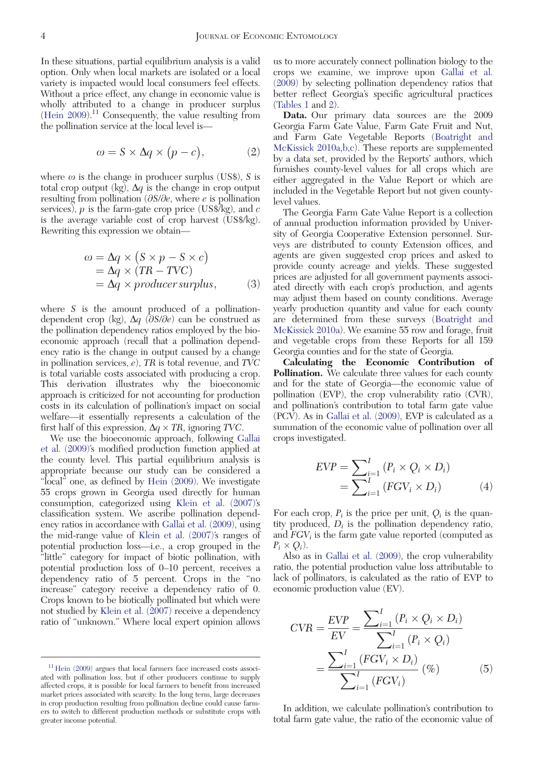<span id="page-3-0"></span>In these situations, partial equilibrium analysis is a valid option. Only when local markets are isolated or a local variety is impacted would local consumers feel effects. Without a price effect, any change in economic value is wholly attributed to a change in producer surplus  $(Hein 2009)^{11}$  $(Hein 2009)^{11}$  $(Hein 2009)^{11}$  Consequently, the value resulting from the pollination service at the local level is—

$$
\omega = S \times \Delta q \times (p - c), \tag{2}
$$

where  $\omega$  is the change in producer surplus (US\$), S is total crop output (kg),  $\Delta q$  is the change in crop output resulting from pollination  $\left(\frac{\partial S}{\partial e}\right)$ , where e is pollination services),  $p$  is the farm-gate crop price (US\$/kg), and  $c$ is the average variable cost of crop harvest (US\$/kg). Rewriting this expression we obtain—

$$
ω = Δq × (S × p – S × c)\n= Δq × (TR – TVC)\n= Δq × producer surplus,
$$
\n(3)

where S is the amount produced of a pollinationdependent crop (kg),  $\Delta q$  ( $\partial S/\partial e$ ) can be construed as the pollination dependency ratios employed by the bioeconomic approach (recall that a pollination dependency ratio is the change in output caused by a change in pollination services,  $e$ ),  $TR$  is total revenue, and  $TVC$ is total variable costs associated with producing a crop. This derivation illustrates why the bioeconomic approach is criticized for not accounting for production costs in its calculation of pollination's impact on social welfare—it essentially represents a calculation of the first half of this expression,  $\Delta q \times TR$ , ignoring TVC.

We use the bioeconomic approach, following [Gallai](#page-10-0) [et al. \(2009\)](#page-10-0)'s modified production function applied at the county level. This partial equilibrium analysis is appropriate because our study can be considered a "local" one, as defined by [Hein \(2009\)](#page-10-0). We investigate 55 crops grown in Georgia used directly for human consumption, categorized using [Klein et al. \(2007\)'](#page-10-0)s classification system. We ascribe pollination dependency ratios in accordance with [Gallai et al. \(2009\),](#page-10-0) using the mid-range value of [Klein et al. \(2007\)](#page-10-0)'s ranges of potential production loss—i.e., a crop grouped in the "little" category for impact of biotic pollination, with potential production loss of 0–10 percent, receives a dependency ratio of 5 percent. Crops in the "no increase" category receive a dependency ratio of 0. Crops known to be biotically pollinated but which were not studied by [Klein et al. \(2007\)](#page-10-0) receive a dependency ratio of "unknown." Where local expert opinion allows

us to more accurately connect pollination biology to the crops we examine, we improve upon [Gallai et al.](#page-10-0) [\(2009\)](#page-10-0) by selecting pollination dependency ratios that better reflect Georgia's specific agricultural practices [\(Tables 1](#page-4-0) and [2](#page-4-0)).

Data. Our primary data sources are the 2009 Georgia Farm Gate Value, Farm Gate Fruit and Nut, and Farm Gate Vegetable Reports [\(Boatright and](#page-9-0) [McKissick 2010a,b,c\)](#page-9-0). These reports are supplemented by a data set, provided by the Reports' authors, which furnishes county-level values for all crops which are either aggregated in the Value Report or which are included in the Vegetable Report but not given countylevel values.

The Georgia Farm Gate Value Report is a collection of annual production information provided by University of Georgia Cooperative Extension personnel. Surveys are distributed to county Extension offices, and agents are given suggested crop prices and asked to provide county acreage and yields. These suggested prices are adjusted for all government payments associated directly with each crop's production, and agents may adjust them based on county conditions. Average yearly production quantity and value for each county are determined from these surveys ([Boatright and](#page-9-0) [McKissick 2010a](#page-9-0)). We examine 55 row and forage, fruit and vegetable crops from these Reports for all 159 Georgia counties and for the state of Georgia.

Calculating the Economic Contribution of **Pollination.** We calculate three values for each county and for the state of Georgia—the economic value of pollination (EVP), the crop vulnerability ratio (CVR), and pollination's contribution to total farm gate value (PCV). As in [Gallai et al. \(2009\),](#page-10-0) EVP is calculated as a summation of the economic value of pollination over all crops investigated.

$$
EVP = \sum_{i=1}^{I} (P_i \times Q_i \times D_i)
$$
  
= 
$$
\sum_{i=1}^{I} (FGV_i \times D_i)
$$
 (4)

For each crop,  $P_i$  is the price per unit,  $Q_i$  is the quantity produced,  $D_i$  is the pollination dependency ratio, and  $FGV_i$  is the farm gate value reported (computed as  $P_i \times Q_i$ ).

Also as in [Gallai et al. \(2009\),](#page-10-0) the crop vulnerability ratio, the potential production value loss attributable to lack of pollinators, is calculated as the ratio of EVP to economic production value (EV).

$$
CVR = \frac{EVP}{EV} = \frac{\sum_{i=1}^{I} (P_i \times Q_i \times D_i)}{\sum_{i=1}^{I} (P_i \times Q_i)} = \frac{\sum_{i=1}^{I} (FGV_i \times D_i)}{\sum_{i=1}^{I} (FGV_i)} \tag{5}
$$

In addition, we calculate pollination's contribution to total farm gate value, the ratio of the economic value of

 $11$  [Hein \(2009\)](#page-10-0) argues that local farmers face increased costs associated with pollination loss, but if other producers continue to supply affected crops, it is possible for local farmers to benefit from increased market prices associated with scarcity. In the long term, large decreases in crop production resulting from pollination decline could cause farmers to switch to different production methods or substitute crops with greater income potential.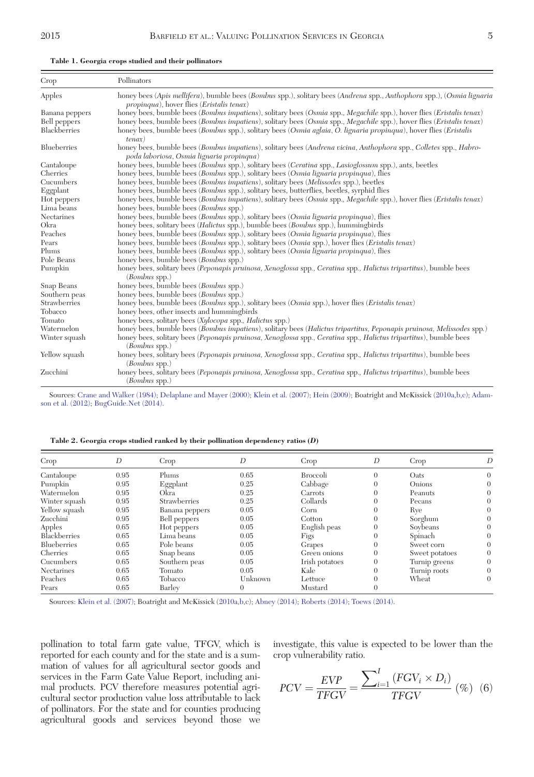<span id="page-4-0"></span>

|  |  |  |  |  |  | Table 1. Georgia crops studied and their pollinators |
|--|--|--|--|--|--|------------------------------------------------------|
|--|--|--|--|--|--|------------------------------------------------------|

| Crop           | Pollinators                                                                                                                                                                          |
|----------------|--------------------------------------------------------------------------------------------------------------------------------------------------------------------------------------|
| Apples         | honey bees (Apis mellifera), bumble bees (Bombus spp.), solitary bees (Andrena spp., Anthophora spp.), (Osmia lignaria<br><i>propingua</i> ), hover flies ( <i>Eristalis tenax</i> ) |
| Banana peppers | honey bees, bumble bees (Bombus impatiens), solitary bees (Osmia spp., Megachile spp.), hover flies (Eristalis tenax)                                                                |
| Bell peppers   | honey bees, bumble bees (Bombus impatiens), solitary bees (Osmia spp., Megachile spp.), hover flies (Eristalis tenax)                                                                |
| Blackberries   | honey bees, bumble bees (Bombus spp.), solitary bees (Osmia aglaia, O. lignaria propinqua), hover flies (Eristalis<br><i>tenax</i> )                                                 |
| Blueberries    | honey bees, bumble bees (Bombus impatiens), solitary bees (Andrena vicina, Anthophora spp., Colletes spp., Habro-<br>poda laboriosa, Osmia lignaria propinqua)                       |
| Cantaloupe     | honey bees, bumble bees (Bombus spp.), solitary bees (Ceratina spp., Lasioglossum spp.), ants, beetles                                                                               |
| Cherries       | honey bees, bumble bees ( <i>Bombus spp.</i> ), solitary bees ( <i>Osmia lignaria propinqua</i> ), flies                                                                             |
| Cucumbers      | honey bees, bumble bees (Bombus impatiens), solitary bees (Melissodes spp.), beetles                                                                                                 |
| Eggplant       | honey bees, bumble bees ( <i>Bombus</i> spp.), solitary bees, butterflies, beetles, syrphid flies                                                                                    |
| Hot peppers    | honey bees, bumble bees (Bombus impatiens), solitary bees (Osmia spp., Megachile spp.), hover flies (Eristalis tenax)                                                                |
| Lima beans     | honey bees, bumble bees ( <i>Bombus</i> spp.)                                                                                                                                        |
| Nectarines     | honey bees, bumble bees (Bombus spp.), solitary bees (Osmia lignaria propinqua), flies                                                                                               |
| Okra           | honey bees, solitary bees ( <i>Halictus</i> spp.), bumble bees ( <i>Bombus</i> spp.), hummingbirds                                                                                   |
| Peaches        | honey bees, bumble bees (Bombus spp.), solitary bees (Osmia lignaria propinqua), flies                                                                                               |
| Pears          | honey bees, bumble bees (Bombus spp.), solitary bees (Osmia spp.), hover flies (Eristalis tenax)                                                                                     |
| Plums          | honey bees, bumble bees (Bombus spp.), solitary bees (Osmia lignaria propinqua), flies                                                                                               |
| Pole Beans     | honey bees, bumble bees (Bombus spp.)                                                                                                                                                |
| Pumpkin        | honey bees, solitary bees (Peponapis pruinosa, Xenoglossa spp., Ceratina spp., Halictus tripartitus), bumble bees                                                                    |
|                | (Bombus spp.)                                                                                                                                                                        |
| Snap Beans     | honey bees, bumble bees ( <i>Bombus</i> spp.)                                                                                                                                        |
| Southern peas  | honey bees, bumble bees (Bombus spp.)                                                                                                                                                |
| Strawberries   | honey bees, bumble bees (Bombus spp.), solitary bees (Osmia spp.), hover flies (Eristalis tenax)                                                                                     |
| Tobacco        | honey bees, other insects and hummingbirds                                                                                                                                           |
| Tomato         | honey bees, solitary bees (Xylocopa spp., Halictus spp.)                                                                                                                             |
| Watermelon     | honey bees, bumble bees (Bombus impatiens), solitary bees (Halictus tripartitus, Peponapis pruinosa, Melissodes spp.)                                                                |
| Winter squash  | honey bees, solitary bees (Peponapis pruinosa, Xenoglossa spp., Ceratina spp., Halictus tripartitus), bumble bees<br>$(Bombus$ spp.)                                                 |
| Yellow squash  | honey bees, solitary bees (Peponapis pruinosa, Xenoglossa spp., Ceratina spp., Halictus tripartitus), bumble bees<br>$(Bombus$ spp.)                                                 |
| Zucchini       | honey bees, solitary bees (Peponapis pruinosa, Xenoglossa spp., Ceratina spp., Halictus tripartitus), bumble bees<br>$(Bombus$ spp.)                                                 |

Sources: [Crane and Walker \(1984\)](#page-10-0); [Delaplane and Mayer \(2000\);](#page-10-0) [Klein et al. \(2007\);](#page-10-0) [Hein \(2009\)](#page-10-0); Boatright and McKissick [\(2010a,b](#page-9-0),[c\)](#page-9-0); [Adam](#page-9-0)[son et al. \(2012\);](#page-9-0) [BugGuide.Net \(2014\).](#page-9-0)

|  | Table 2. Georgia crops studied ranked by their pollination dependency ratios $(D)$ |
|--|------------------------------------------------------------------------------------|
|--|------------------------------------------------------------------------------------|

| Crop              | D    | Crop                | D        | Crop           | D        | Crop           | D              |
|-------------------|------|---------------------|----------|----------------|----------|----------------|----------------|
| Cantaloupe        | 0.95 | Plums               | 0.65     | Broccoli       | $\Omega$ | Oats           | $\overline{0}$ |
| Pumpkin           | 0.95 | Eggplant            | 0.25     | Cabbage        | $\theta$ | Onions         | $\Omega$       |
| Watermelon        | 0.95 | Okra                | 0.25     | Carrots        | $\theta$ | Peanuts        | $\Omega$       |
| Winter squash     | 0.95 | <b>Strawberries</b> | 0.25     | Collards       | $\Omega$ | Pecans         | $\overline{0}$ |
| Yellow squash     | 0.95 | Banana peppers      | 0.05     | Corn           | $\Omega$ | Rye            | $\Omega$       |
| Zucchini          | 0.95 | Bell peppers        | 0.05     | Cotton         | $\theta$ | Sorghum        | $\Omega$       |
| Apples            | 0.65 | Hot peppers         | 0.05     | English peas   | $\theta$ | Soybeans       | $\Omega$       |
| Blackberries      | 0.65 | Lima beans          | 0.05     | Figs           | $\theta$ | Spinach        | $\overline{0}$ |
| Blueberries       | 0.65 | Pole beans          | 0.05     | Grapes         | $\Omega$ | Sweet corn     | $\overline{0}$ |
| Cherries          | 0.65 | Snap beans          | 0.05     | Green onions   | $\Omega$ | Sweet potatoes | $\mathbf{0}$   |
| Cucumbers         | 0.65 | Southern peas       | 0.05     | Irish potatoes | $\theta$ | Turnip greens  | $\Omega$       |
| <b>Nectarines</b> | 0.65 | Tomato              | 0.05     | Kale           |          | Turnip roots   | 0              |
| Peaches           | 0.65 | Tobacco             | Unknown  | Lettuce        | $\theta$ | Wheat          | $\overline{0}$ |
| Pears             | 0.65 | Barley              | $\Omega$ | Mustard        | $\theta$ |                |                |

Sources: [Klein et al. \(2007\)](#page-10-0); Boatright and McKissick [\(2010a,b,c\)](#page-9-0); [Abney \(2014\);](#page-9-0) [Roberts \(2014\);](#page-10-0) [Toews \(2014\).](#page-10-0)

pollination to total farm gate value, TFGV, which is reported for each county and for the state and is a summation of values for all agricultural sector goods and services in the Farm Gate Value Report, including animal products. PCV therefore measures potential agricultural sector production value loss attributable to lack of pollinators. For the state and for counties producing agricultural goods and services beyond those we

investigate, this value is expected to be lower than the crop vulnerability ratio.

$$
PCV = \frac{EVP}{TFGV} = \frac{\sum_{i=1}^{I} (FGV_i \times D_i)}{TFGV} \text{ } (\%) \text{ } (6)
$$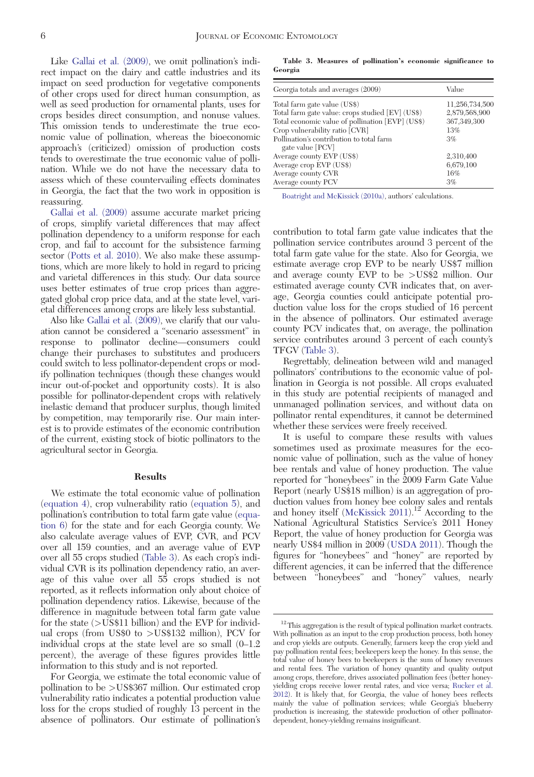Like [Gallai et al. \(2009\),](#page-10-0) we omit pollination's indirect impact on the dairy and cattle industries and its impact on seed production for vegetative components of other crops used for direct human consumption, as well as seed production for ornamental plants, uses for crops besides direct consumption, and nonuse values. This omission tends to underestimate the true economic value of pollination, whereas the bioeconomic approach's (criticized) omission of production costs tends to overestimate the true economic value of pollination. While we do not have the necessary data to assess which of these countervailing effects dominates in Georgia, the fact that the two work in opposition is reassuring.

[Gallai et al. \(2009\)](#page-10-0) assume accurate market pricing of crops, simplify varietal differences that may affect pollination dependency to a uniform response for each crop, and fail to account for the subsistence farming sector [\(Potts et al. 2010\)](#page-10-0). We also make these assumptions, which are more likely to hold in regard to pricing and varietal differences in this study. Our data source uses better estimates of true crop prices than aggregated global crop price data, and at the state level, varietal differences among crops are likely less substantial.

Also like [Gallai et al. \(2009\),](#page-10-0) we clarify that our valuation cannot be considered a "scenario assessment" in response to pollinator decline—consumers could change their purchases to substitutes and producers could switch to less pollinator-dependent crops or modify pollination techniques (though these changes would incur out-of-pocket and opportunity costs). It is also possible for pollinator-dependent crops with relatively inelastic demand that producer surplus, though limited by competition, may temporarily rise. Our main interest is to provide estimates of the economic contribution of the current, existing stock of biotic pollinators to the agricultural sector in Georgia.

#### Results

We estimate the total economic value of pollination ([equation 4](#page-3-0)), crop vulnerability ratio ([equation 5](#page-3-0)), and pollination's contribution to total farm gate value ([equa](#page-4-0)[tion 6\)](#page-4-0) for the state and for each Georgia county. We also calculate average values of EVP, CVR, and PCV over all 159 counties, and an average value of EVP over all 55 crops studied (Table 3). As each crop's individual CVR is its pollination dependency ratio, an average of this value over all 55 crops studied is not reported, as it reflects information only about choice of pollination dependency ratios. Likewise, because of the difference in magnitude between total farm gate value for the state (>US\$11 billion) and the EVP for individual crops (from US\$0 to >US\$132 million), PCV for individual crops at the state level are so small (0–1.2 percent), the average of these figures provides little information to this study and is not reported.

For Georgia, we estimate the total economic value of pollination to be >US\$367 million. Our estimated crop vulnerability ratio indicates a potential production value loss for the crops studied of roughly 13 percent in the absence of pollinators. Our estimate of pollination's

Table 3. Measures of pollination's economic significance to Georgia

| Georgia totals and averages (2009)                                                                   | Value                        |  |  |
|------------------------------------------------------------------------------------------------------|------------------------------|--|--|
| Total farm gate value (US\$)                                                                         | 11,256,734,500               |  |  |
| Total farm gate value: crops studied [EV] (US\$)<br>Total economic value of pollination [EVP] (US\$) | 2,879,568,900<br>367,349,300 |  |  |
| Crop vulnerability ratio [CVR]                                                                       | 13%                          |  |  |
| Pollination's contribution to total farm<br>gate value [PCV]                                         | 3%                           |  |  |
| Average county EVP (US\$)                                                                            | 2,310,400                    |  |  |
| Average crop EVP (US\$)                                                                              | 6,679,100                    |  |  |
| Average county CVR                                                                                   | 16%                          |  |  |
| Average county PCV                                                                                   | 3%                           |  |  |

[Boatright and McKissick \(2010a\),](#page-9-0) authors' calculations.

contribution to total farm gate value indicates that the pollination service contributes around 3 percent of the total farm gate value for the state. Also for Georgia, we estimate average crop EVP to be nearly US\$7 million and average county EVP to be >US\$2 million. Our estimated average county CVR indicates that, on average, Georgia counties could anticipate potential production value loss for the crops studied of 16 percent in the absence of pollinators. Our estimated average county PCV indicates that, on average, the pollination service contributes around 3 percent of each county's TFGV (Table 3).

Regrettably, delineation between wild and managed pollinators' contributions to the economic value of pollination in Georgia is not possible. All crops evaluated in this study are potential recipients of managed and unmanaged pollination services, and without data on pollinator rental expenditures, it cannot be determined whether these services were freely received.

It is useful to compare these results with values sometimes used as proximate measures for the economic value of pollination, such as the value of honey bee rentals and value of honey production. The value reported for "honeybees" in the 2009 Farm Gate Value Report (nearly US\$18 million) is an aggregation of production values from honey bee colony sales and rentals and honey itself [\(McKissick 2011\)](#page-10-0).<sup>12</sup> According to the National Agricultural Statistics Service's 2011 Honey Report, the value of honey production for Georgia was nearly US\$4 million in 2009 [\(USDA 2011\)](#page-10-0). Though the figures for "honeybees" and "honey" are reported by different agencies, it can be inferred that the difference between "honeybees" and "honey" values, nearly

 $12$ This aggregation is the result of typical pollination market contracts. With pollination as an input to the crop production process, both honey and crop yields are outputs. Generally, farmers keep the crop yield and pay pollination rental fees; beekeepers keep the honey. In this sense, the total value of honey bees to beekeepers is the sum of honey revenues and rental fees. The variation of honey quantity and quality output among crops, therefore, drives associated pollination fees (better honeyyielding crops receive lower rental rates, and vice versa; [Rucker et al.](#page-10-0) [2012](#page-10-0)). It is likely that, for Georgia, the value of honey bees reflects mainly the value of pollination services; while Georgia's blueberry production is increasing, the statewide production of other pollinatordependent, honey-yielding remains insignificant.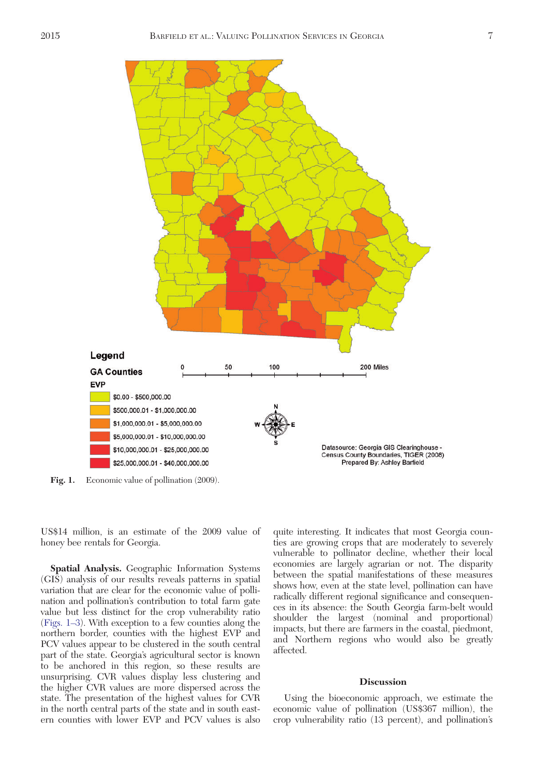

Fig. 1. Economic value of pollination (2009).

US\$14 million, is an estimate of the 2009 value of honey bee rentals for Georgia.

Spatial Analysis. Geographic Information Systems (GIS) analysis of our results reveals patterns in spatial variation that are clear for the economic value of pollination and pollination's contribution to total farm gate value but less distinct for the crop vulnerability ratio (Figs. 1–3). With exception to a few counties along the northern border, counties with the highest EVP and PCV values appear to be clustered in the south central part of the state. Georgia's agricultural sector is known to be anchored in this region, so these results are unsurprising. CVR values display less clustering and the higher CVR values are more dispersed across the state. The presentation of the highest values for CVR in the north central parts of the state and in south eastern counties with lower EVP and PCV values is also quite interesting. It indicates that most Georgia counties are growing crops that are moderately to severely vulnerable to pollinator decline, whether their local economies are largely agrarian or not. The disparity between the spatial manifestations of these measures shows how, even at the state level, pollination can have radically different regional significance and consequences in its absence: the South Georgia farm-belt would shoulder the largest (nominal and proportional) impacts, but there are farmers in the coastal, piedmont, and Northern regions who would also be greatly affected.

### **Discussion**

Using the bioeconomic approach, we estimate the economic value of pollination (US\$367 million), the crop vulnerability ratio (13 percent), and pollination's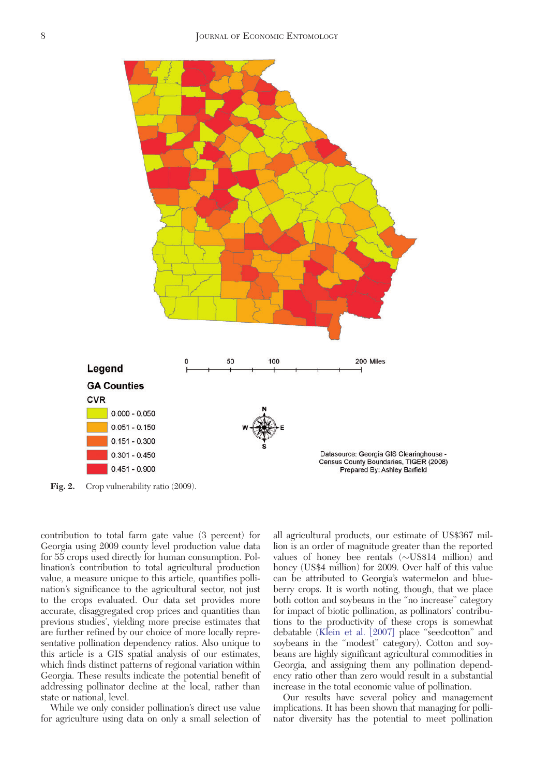

Fig. 2. Crop vulnerability ratio (2009).

contribution to total farm gate value (3 percent) for Georgia using 2009 county level production value data for 55 crops used directly for human consumption. Pollination's contribution to total agricultural production value, a measure unique to this article, quantifies pollination's significance to the agricultural sector, not just to the crops evaluated. Our data set provides more accurate, disaggregated crop prices and quantities than previous studies', yielding more precise estimates that are further refined by our choice of more locally representative pollination dependency ratios. Also unique to this article is a GIS spatial analysis of our estimates, which finds distinct patterns of regional variation within Georgia. These results indicate the potential benefit of addressing pollinator decline at the local, rather than state or national, level.

While we only consider pollination's direct use value for agriculture using data on only a small selection of all agricultural products, our estimate of US\$367 million is an order of magnitude greater than the reported values of honey bee rentals  $(\sim USS14 \text{ million})$  and honey (US\$4 million) for 2009. Over half of this value can be attributed to Georgia's watermelon and blueberry crops. It is worth noting, though, that we place both cotton and soybeans in the "no increase" category for impact of biotic pollination, as pollinators' contributions to the productivity of these crops is somewhat debatable ([Klein et al. \[2007\]](#page-10-0) place "seedcotton" and soybeans in the "modest" category). Cotton and soybeans are highly significant agricultural commodities in Georgia, and assigning them any pollination dependency ratio other than zero would result in a substantial increase in the total economic value of pollination.

Our results have several policy and management implications. It has been shown that managing for pollinator diversity has the potential to meet pollination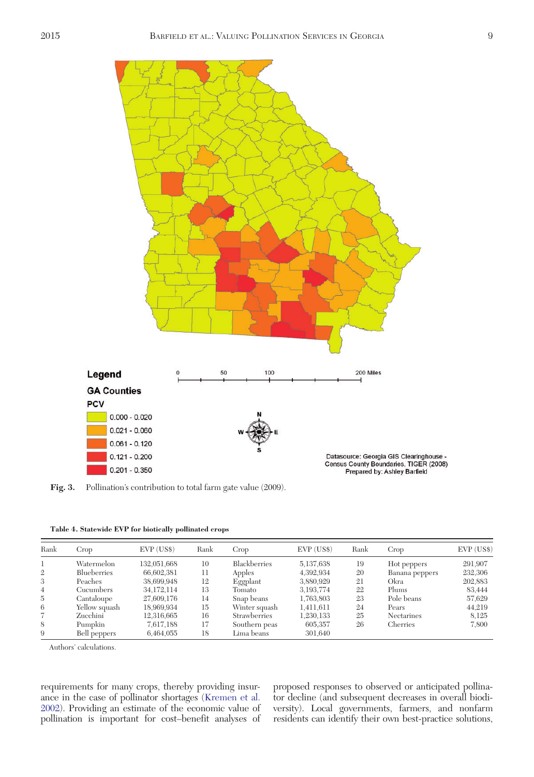<span id="page-8-0"></span>

Fig. 3. Pollination's contribution to total farm gate value (2009).

Table 4. Statewide EVP for biotically pollinated crops

| Rank           | Crop          | EVP (USS)   | Rank | Crop          | EVP (US\$) | Rank | Crop           | EVP (US\$) |
|----------------|---------------|-------------|------|---------------|------------|------|----------------|------------|
|                | Watermelon    | 132.051.668 | 10   | Blackberries  | 5,137,638  | 19   | Hot peppers    | 291,907    |
| $\mathbf{2}$   | Blueberries   | 66.602.381  | 11   | Apples        | 4,392,934  | 20   | Banana peppers | 232,306    |
| 3              | Peaches       | 38.699.948  | 12   | Eggplant      | 3.880.929  | 21   | Okra           | 202,883    |
| $\overline{4}$ | Cucumbers     | 34,172,114  | 13   | Tomato        | 3.193.774  | 22   | Plums          | 83.444     |
| 5              | Cantaloupe    | 27.609.176  | 14   | Snap beans    | 1.763.803  | 23   | Pole beans     | 57.629     |
| 6              | Yellow squash | 18.969.934  | 15   | Winter squash | 1,411,611  | 24   | Pears          | 44,219     |
|                | Zucchini      | 12,316,665  | 16   | Strawberries  | 1,230,133  | 25   | Nectarines     | 8,125      |
| 8              | Pumpkin       | 7.617.188   | 17   | Southern peas | 605,357    | 26   | Cherries       | 7,800      |
| 9              | Bell peppers  | 6.464.055   | 18   | Lima beans    | 301,640    |      |                |            |

Authors' calculations.

requirements for many crops, thereby providing insurance in the case of pollinator shortages ([Kremen et al.](#page-10-0) [2002](#page-10-0)). Providing an estimate of the economic value of pollination is important for cost–benefit analyses of

proposed responses to observed or anticipated pollinator decline (and subsequent decreases in overall biodiversity). Local governments, farmers, and nonfarm residents can identify their own best-practice solutions,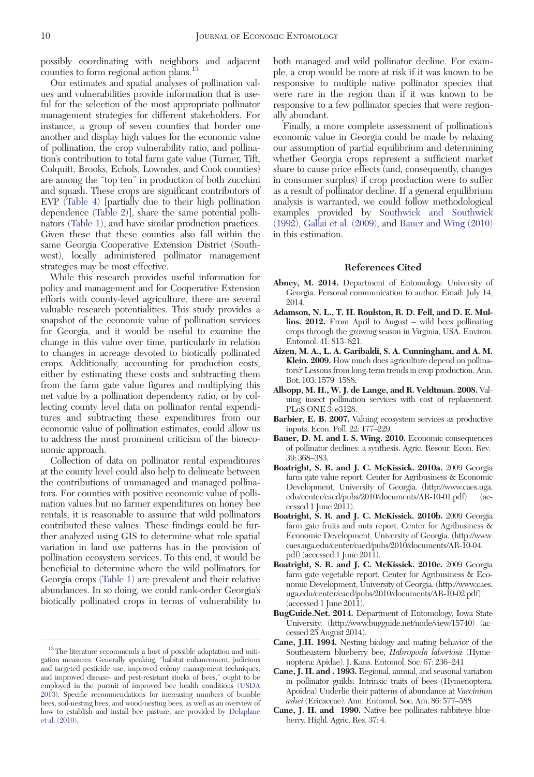<span id="page-9-0"></span>possibly coordinating with neighbors and adjacent counties to form regional action plans.<sup>13</sup>

Our estimates and spatial analyses of pollination values and vulnerabilities provide information that is useful for the selection of the most appropriate pollinator management strategies for different stakeholders. For instance, a group of seven counties that border one another and display high values for the economic value of pollination, the crop vulnerability ratio, and pollination's contribution to total farm gate value (Turner, Tift, Colquitt, Brooks, Echols, Lowndes, and Cook counties) are among the "top ten" in production of both zucchini and squash. These crops are significant contributors of EVP ([Table 4\)](#page-8-0) [partially due to their high pollination dependence ([Table 2](#page-4-0))], share the same potential pollinators ([Table 1](#page-4-0)), and have similar production practices. Given these that these counties also fall within the same Georgia Cooperative Extension District (Southwest), locally administered pollinator management strategies may be most effective.

While this research provides useful information for policy and management and for Cooperative Extension efforts with county-level agriculture, there are several valuable research potentialities. This study provides a snapshot of the economic value of pollination services for Georgia, and it would be useful to examine the change in this value over time, particularly in relation to changes in acreage devoted to biotically pollinated crops. Additionally, accounting for production costs, either by estimating these costs and subtracting them from the farm gate value figures and multiplying this net value by a pollination dependency ratio, or by collecting county level data on pollinator rental expenditures and subtracting these expenditures from our economic value of pollination estimates, could allow us to address the most prominent criticism of the bioeconomic approach.

Collection of data on pollinator rental expenditures at the county level could also help to delineate between the contributions of unmanaged and managed pollinators. For counties with positive economic value of pollination values but no farmer expenditures on honey bee rentals, it is reasonable to assume that wild pollinators contributed these values. These findings could be further analyzed using GIS to determine what role spatial variation in land use patterns has in the provision of pollination ecosystem services. To this end, it would be beneficial to determine where the wild pollinators for Georgia crops ([Table 1\)](#page-4-0) are prevalent and their relative abundances. In so doing, we could rank-order Georgia's biotically pollinated crops in terms of vulnerability to both managed and wild pollinator decline. For example, a crop would be more at risk if it was known to be responsive to multiple native pollinator species that were rare in the region than if it was known to be responsive to a few pollinator species that were regionally abundant.

Finally, a more complete assessment of pollination's economic value in Georgia could be made by relaxing our assumption of partial equilibrium and determining whether Georgia crops represent a sufficient market share to cause price effects (and, consequently, changes in consumer surplus) if crop production were to suffer as a result of pollinator decline. If a general equilibrium analysis is warranted, we could follow methodological examples provided by [Southwick and Southwick](#page-10-0) [\(1992\),](#page-10-0) [Gallai et al. \(2009\),](#page-10-0) and Bauer and Wing (2010) in this estimation.

### References Cited

- Abney, M. 2014. Department of Entomology. University of Georgia. Personal communication to author. Email: July 14, 2014.
- Adamson, N. L., T. H. Roulston, R. D. Fell, and D. E. Mullins. 2012. From April to August – wild bees pollinating crops through the growing season in Virginia, USA. Environ. Entomol. 41: 813–821.
- Aizen, M. A., L. A. Garibaldi, S. A. Cunningham, and A. M. Klein. 2009. How much does agriculture depend on pollinators? Lessons from long-term trends in crop production. Ann. Bot. 103: 1579–1588.
- Allsopp, M. H., W. J. de Lange, and R. Veldtman. 2008. Valuing insect pollination services with cost of replacement. PLoS ONE 3: e3128.
- Barbier, E. B. 2007. Valuing ecosystem services as productive inputs. Econ. Poll. 22: 177–229.
- Bauer, D. M. and I. S. Wing. 2010. Economic consequences of pollinator declines: a synthesis. Agric. Resour. Econ. Rev. 39: 368–383.
- Boatright, S. R. and J. C. McKissick. 2010a. 2009 Georgia farm gate value report. Center for Agribusiness & Economic Development, University of Georgia. ([http://www.caes.uga.](http://www.caes.uga.edu/center/caed/pubs/2010/documents/AR-10-01.pdf) [edu/center/caed/pubs/2010/documents/AR-10-01.pdf\)](http://www.caes.uga.edu/center/caed/pubs/2010/documents/AR-10-01.pdf) (accessed 1 June 2011).
- Boatright, S. R. and J. C. McKissick. 2010b. 2009 Georgia farm gate fruits and nuts report. Center for Agribusiness & Economic Development, University of Georgia. [\(http://www.](http://www.caes.uga.edu/center/caed/pubs/2010/documents/AR-10-04.pdf) [caes.uga.edu/center/caed/pubs/2010/documents/AR-10-04.](http://www.caes.uga.edu/center/caed/pubs/2010/documents/AR-10-04.pdf) [pdf](http://www.caes.uga.edu/center/caed/pubs/2010/documents/AR-10-04.pdf)) (accessed 1 June 2011).
- Boatright, S. R. and J. C. McKissick. 2010c. 2009 Georgia farm gate vegetable report. Center for Agribusiness & Economic Development, University of Georgia. ([http://www.caes.](http://www.caes.uga.edu/center/caed/pubs/2010/documents/AR-10-02.pdf) [uga.edu/center/caed/pubs/2010/documents/AR-10-02.pdf](http://www.caes.uga.edu/center/caed/pubs/2010/documents/AR-10-02.pdf)) (accessed 1 June 2011).
- BugGuide.Net. 2014. Department of Entomology, Iowa State University. [\(http://www.bugguide.net/node/view/15740\)](http://www.bugguide.net/node/view/15740) (accessed 25 August 2014).
- Cane, J.H. 1994. Nesting biology and mating behavior of the Southeastern blueberry bee, Habropoda laboriosa (Hymenoptera: Apidae). J. Kans. Entomol. Soc. 67: 236–241
- Cane, J. H. and . 1993. Regional, annual, and seasonal variation in pollinator guilds: Intrinsic traits of bees (Hymenoptera: Apoidea) Underlie their patterns of abundance at Vaccinium ashei (Ericaceae). Ann. Entomol. Soc. Am. 86: 577–588
- Cane, J. H. and 1990. Native bee pollinates rabbiteye blueberry. Highl. Agric. Res. 37: 4.

<sup>&</sup>lt;sup>13</sup>The literature recommends a host of possible adaptation and mitigation measures. Generally speaking, "habitat enhancement, judicious and targeted pesticide use, improved colony management techniques, and improved disease- and pest-resistant stocks of bees," ought to be employed in the pursuit of improved bee health conditions [\(USDA](#page-10-0) [2013](#page-10-0)). Specific recommendations for increasing numbers of bumble bees, soil-nesting bees, and wood-nesting bees, as well as an overview of how to establish and install bee pasture, are provided by [Delaplane](#page-10-0) [et al. \(2010\)](#page-10-0).